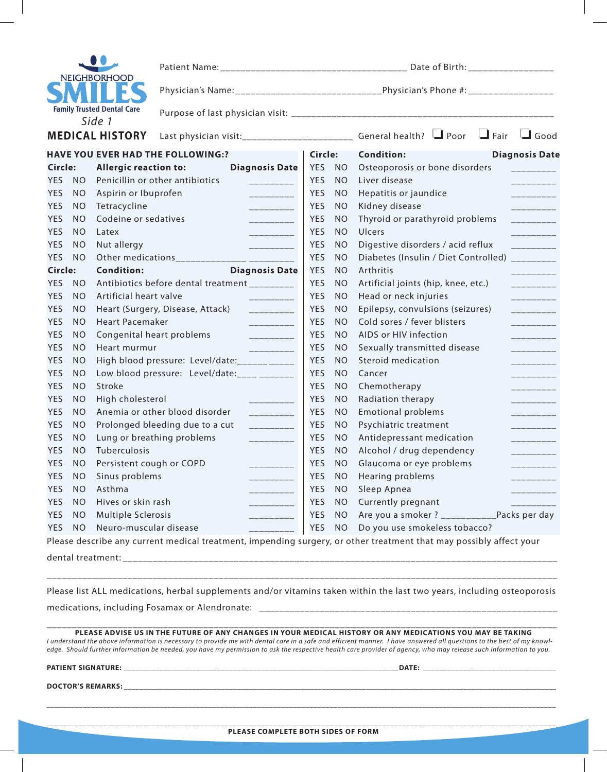| NEIGHBORHOOD                      |  |  |  |  |  |
|-----------------------------------|--|--|--|--|--|
|                                   |  |  |  |  |  |
| <b>Family Trusted Dental Care</b> |  |  |  |  |  |
| م ا                               |  |  |  |  |  |

| <b>NEIGHBORHOOD</b>                                                                                                         |                             |                                             |                                  |                                                |                                                                                                      |                        |                                                                                                                    |  |                             |  |
|-----------------------------------------------------------------------------------------------------------------------------|-----------------------------|---------------------------------------------|----------------------------------|------------------------------------------------|------------------------------------------------------------------------------------------------------|------------------------|--------------------------------------------------------------------------------------------------------------------|--|-----------------------------|--|
|                                                                                                                             |                             |                                             |                                  |                                                | Physician's Name: _________________________________Physician's Phone #: ____________________________ |                        |                                                                                                                    |  |                             |  |
|                                                                                                                             |                             | <b>Family Trusted Dental Care</b><br>Side 1 |                                  |                                                |                                                                                                      |                        |                                                                                                                    |  |                             |  |
| <b>MEDICAL HISTORY</b><br>Last physician visit:_________________________________ General health?   U Poor   U Fair   U Good |                             |                                             |                                  |                                                |                                                                                                      |                        |                                                                                                                    |  |                             |  |
| <b>HAVE YOU EVER HAD THE FOLLOWING:?</b>                                                                                    |                             |                                             |                                  |                                                | Circle:                                                                                              |                        | <b>Condition:</b>                                                                                                  |  | <b>Diagnosis Date</b>       |  |
| Circle:                                                                                                                     |                             | <b>Allergic reaction to:</b>                |                                  | <b>Diagnosis Date</b>                          | YES NO                                                                                               |                        | Osteoporosis or bone disorders                                                                                     |  |                             |  |
| <b>YES</b>                                                                                                                  | <b>NO</b>                   |                                             | Penicillin or other antibiotics  |                                                | <b>YES</b>                                                                                           | <b>NO</b>              | Liver disease                                                                                                      |  | _________                   |  |
| <b>YES</b>                                                                                                                  | <b>NO</b>                   | Aspirin or Ibuprofen                        |                                  |                                                | <b>YES</b>                                                                                           | <b>NO</b>              | Hepatitis or jaundice                                                                                              |  | _________                   |  |
| YES                                                                                                                         | <b>NO</b>                   | Tetracycline                                |                                  | $---------$                                    | <b>YES</b>                                                                                           | <b>NO</b>              | Kidney disease                                                                                                     |  | __________                  |  |
| YES                                                                                                                         | <b>NO</b>                   | Codeine or sedatives                        |                                  | __________                                     | <b>YES</b>                                                                                           | <b>NO</b>              | Thyroid or parathyroid problems                                                                                    |  |                             |  |
| <b>YES</b>                                                                                                                  | <b>NO</b>                   | Latex                                       |                                  | $---------$                                    | <b>YES</b>                                                                                           | <b>NO</b>              | <b>Ulcers</b>                                                                                                      |  | _________                   |  |
| <b>YES</b>                                                                                                                  | <b>NO</b>                   | Nut allergy                                 |                                  | __________                                     | <b>YES</b>                                                                                           | N <sub>O</sub>         | Digestive disorders / acid reflux                                                                                  |  | $-$ - $-$ - $-$ - $-$ - $-$ |  |
| YES                                                                                                                         | <b>NO</b>                   |                                             |                                  | Other medications_______________ _________     | <b>YES</b>                                                                                           | <b>NO</b>              | Diabetes (Insulin / Diet Controlled)                                                                               |  | __________                  |  |
| Circle:                                                                                                                     |                             | <b>Condition:</b>                           |                                  | <b>Diagnosis Date</b>                          | <b>YES</b>                                                                                           | <b>NO</b>              | Arthritis                                                                                                          |  | _________                   |  |
| <b>YES</b>                                                                                                                  | <b>NO</b>                   |                                             |                                  | Antibiotics before dental treatment _________  | <b>YES</b>                                                                                           | <b>NO</b>              | Artificial joints (hip, knee, etc.)                                                                                |  |                             |  |
| <b>YES</b>                                                                                                                  | <b>NO</b>                   | Artificial heart valve                      |                                  | __________                                     | <b>YES</b>                                                                                           | <b>NO</b>              | Head or neck injuries                                                                                              |  | __________                  |  |
| <b>YES</b>                                                                                                                  | <b>NO</b>                   |                                             | Heart (Surgery, Disease, Attack) | __________                                     | <b>YES</b>                                                                                           | <b>NO</b>              | Epilepsy, convulsions (seizures)                                                                                   |  | _________                   |  |
| <b>YES</b>                                                                                                                  | N <sub>O</sub>              | <b>Heart Pacemaker</b>                      |                                  | __________                                     | <b>YES</b>                                                                                           | <b>NO</b>              | Cold sores / fever blisters                                                                                        |  | __________                  |  |
| <b>YES</b>                                                                                                                  | <b>NO</b>                   | Congenital heart problems                   |                                  | __________                                     | <b>YES</b>                                                                                           | <b>NO</b>              | AIDS or HIV infection                                                                                              |  | _________                   |  |
| <b>YES</b>                                                                                                                  | <b>NO</b>                   | Heart murmur                                |                                  | __________                                     | <b>YES</b>                                                                                           | <b>NO</b>              | Sexually transmitted disease                                                                                       |  | __________                  |  |
| <b>YES</b>                                                                                                                  | <b>NO</b>                   |                                             |                                  | High blood pressure: Level/date:______________ | <b>YES</b>                                                                                           | <b>NO</b>              | <b>Steroid medication</b>                                                                                          |  | ________                    |  |
| <b>YES</b>                                                                                                                  | <b>NO</b>                   |                                             |                                  | Low blood pressure: Level/date:____ _______    | <b>YES</b>                                                                                           | <b>NO</b>              | Cancer                                                                                                             |  | _________                   |  |
| <b>YES</b>                                                                                                                  | N <sub>O</sub>              | Stroke                                      |                                  |                                                | <b>YES</b>                                                                                           | <b>NO</b>              | Chemotherapy                                                                                                       |  | _________                   |  |
| <b>YES</b>                                                                                                                  | <b>NO</b>                   | High cholesterol                            | Anemia or other blood disorder   | __________                                     | <b>YES</b><br><b>YES</b>                                                                             | N <sub>O</sub>         | Radiation therapy                                                                                                  |  | __________                  |  |
| <b>YES</b><br><b>YES</b>                                                                                                    | N <sub>O</sub><br><b>NO</b> |                                             | Prolonged bleeding due to a cut  | $---------$                                    | <b>YES</b>                                                                                           | <b>NO</b><br><b>NO</b> | <b>Emotional problems</b><br>Psychiatric treatment                                                                 |  | _________                   |  |
| <b>YES</b>                                                                                                                  | <b>NO</b>                   |                                             | Lung or breathing problems       | __________                                     | <b>YES</b>                                                                                           | <b>NO</b>              | Antidepressant medication                                                                                          |  | __________                  |  |
| <b>YES</b>                                                                                                                  | <b>NO</b>                   | Tuberculosis                                |                                  | _________                                      | <b>YES</b>                                                                                           | <b>NO</b>              | Alcohol / drug dependency                                                                                          |  | _________                   |  |
| YES                                                                                                                         | <b>NO</b>                   | Persistent cough or COPD                    |                                  |                                                | <b>YES</b>                                                                                           | <b>NO</b>              | Glaucoma or eye problems                                                                                           |  |                             |  |
| YES                                                                                                                         | <b>NO</b>                   | Sinus problems                              |                                  |                                                | YES NO                                                                                               |                        | Hearing problems                                                                                                   |  | _________                   |  |
| <b>YES</b>                                                                                                                  | <b>NO</b>                   | Asthma                                      |                                  |                                                |                                                                                                      |                        | YES NO Sleep Apnea                                                                                                 |  |                             |  |
| <b>YES</b>                                                                                                                  | <b>NO</b>                   | Hives or skin rash                          |                                  |                                                |                                                                                                      |                        | YES NO Currently pregnant                                                                                          |  |                             |  |
| <b>YES</b>                                                                                                                  | <b>NO</b>                   | Multiple Sclerosis                          |                                  |                                                |                                                                                                      |                        |                                                                                                                    |  |                             |  |
| YES                                                                                                                         | <b>NO</b>                   | Neuro-muscular disease                      |                                  |                                                |                                                                                                      |                        | YES NO Do you use smokeless tobacco?                                                                               |  |                             |  |
|                                                                                                                             |                             |                                             |                                  |                                                |                                                                                                      |                        | Please describe any current medical treatment, impending surgery, or other treatment that may possibly affect your |  |                             |  |
|                                                                                                                             |                             |                                             |                                  |                                                |                                                                                                      |                        |                                                                                                                    |  |                             |  |

Please list ALL medications, herbal supplements and/or vitamins taken within the last two years, including osteoporosis medications, including Fosamax or Alendronate: \_\_\_\_\_\_\_\_\_\_\_\_\_\_\_\_\_\_\_\_\_\_\_\_\_\_\_\_\_\_\_\_\_

\_\_\_\_\_\_\_\_\_\_\_\_\_\_\_\_\_\_\_\_\_\_\_\_\_\_\_\_\_\_\_\_\_\_\_\_\_\_\_\_\_\_\_\_\_\_\_\_\_\_\_\_\_\_\_\_\_\_\_\_\_\_\_\_\_\_\_\_\_\_\_\_\_\_\_\_\_\_\_\_\_\_\_\_\_\_\_\_\_\_\_\_\_\_\_\_\_\_\_\_\_

| PLEASE ADVISE US IN THE FUTURE OF ANY CHANGES IN YOUR MEDICAL HISTORY OR ANY MEDICATIONS YOU MAY BE TAKING<br>I understand the above information is necessary to provide me with dental care in a safe and efficient manner. I have answered all questions to the best of my knowl-<br>edge. Should further information be needed, you have my permission to ask the respective health care provider of agency, who may release such information to you. |              |
|----------------------------------------------------------------------------------------------------------------------------------------------------------------------------------------------------------------------------------------------------------------------------------------------------------------------------------------------------------------------------------------------------------------------------------------------------------|--------------|
| <b>PATIENT SIGNATURE:</b>                                                                                                                                                                                                                                                                                                                                                                                                                                | <b>DATE:</b> |
| <b>DOCTOR'S REMARKS:</b>                                                                                                                                                                                                                                                                                                                                                                                                                                 |              |
|                                                                                                                                                                                                                                                                                                                                                                                                                                                          |              |